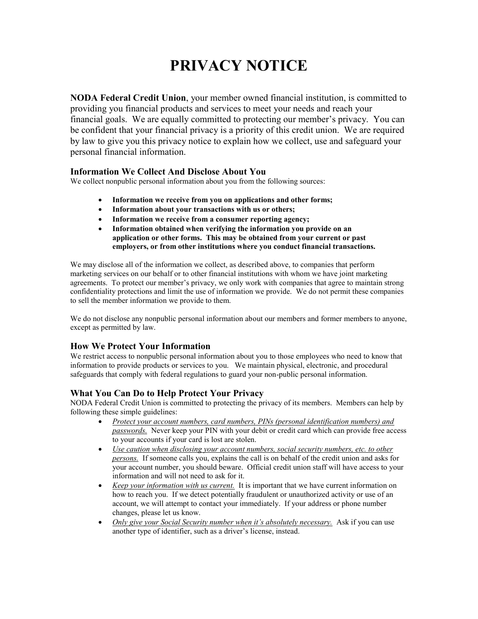## **PRIVACY NOTICE**

**NODA Federal Credit Union**, your member owned financial institution, is committed to providing you financial products and services to meet your needs and reach your financial goals. We are equally committed to protecting our member's privacy. You can be confident that your financial privacy is a priority of this credit union. We are required by law to give you this privacy notice to explain how we collect, use and safeguard your personal financial information.

## **Information We Collect And Disclose About You**

We collect nonpublic personal information about you from the following sources:

- **Information we receive from you on applications and other forms;**
- **Information about your transactions with us or others;**
- **Information we receive from a consumer reporting agency;**
- **Information obtained when verifying the information you provide on an application or other forms. This may be obtained from your current or past employers, or from other institutions where you conduct financial transactions.**

We may disclose all of the information we collect, as described above, to companies that perform marketing services on our behalf or to other financial institutions with whom we have joint marketing agreements. To protect our member's privacy, we only work with companies that agree to maintain strong confidentiality protections and limit the use of information we provide. We do not permit these companies to sell the member information we provide to them.

We do not disclose any nonpublic personal information about our members and former members to anyone, except as permitted by law.

## **How We Protect Your Information**

We restrict access to nonpublic personal information about you to those employees who need to know that information to provide products or services to you. We maintain physical, electronic, and procedural safeguards that comply with federal regulations to guard your non-public personal information.

## **What You Can Do to Help Protect Your Privacy**

NODA Federal Credit Union is committed to protecting the privacy of its members. Members can help by following these simple guidelines:

- *Protect your account numbers, card numbers, PINs (personal identification numbers) and passwords.* Never keep your PIN with your debit or credit card which can provide free access to your accounts if your card is lost are stolen.
- *Use caution when disclosing your account numbers, social security numbers, etc. to other persons.* If someone calls you, explains the call is on behalf of the credit union and asks for your account number, you should beware. Official credit union staff will have access to your information and will not need to ask for it.
- *Keep your information with us current.* It is important that we have current information on how to reach you. If we detect potentially fraudulent or unauthorized activity or use of an account, we will attempt to contact your immediately. If your address or phone number changes, please let us know.
- *Only give your Social Security number when it's absolutely necessary.* Ask if you can use another type of identifier, such as a driver's license, instead.